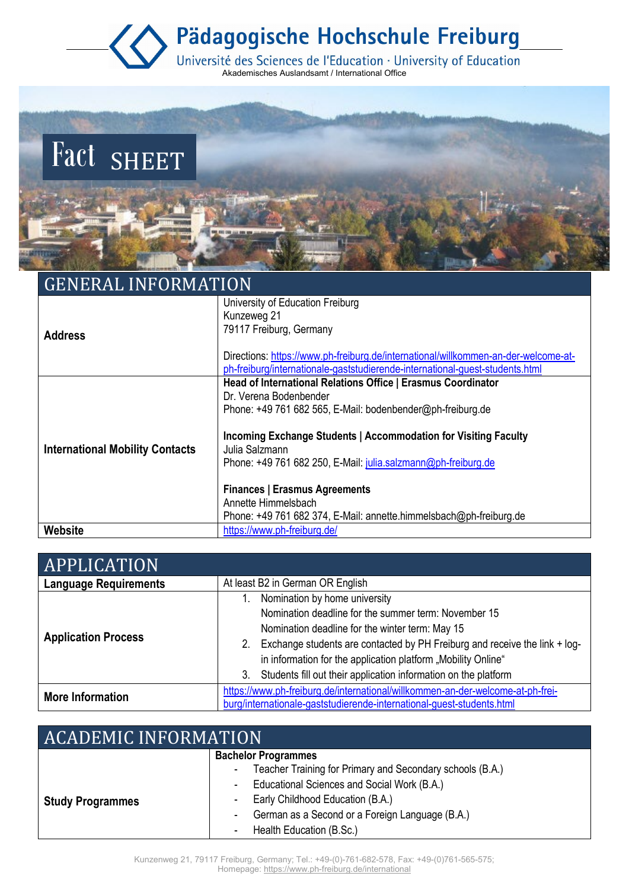Pädagogische Hochschule Freiburg

Université des Sciences de l'Education · University of Education<br>Akademisches Auslandsamt / International Office



## GENERAL INFORMATION

|                                        | University of Education Freiburg                                                   |
|----------------------------------------|------------------------------------------------------------------------------------|
|                                        | Kunzeweg 21                                                                        |
| <b>Address</b>                         | 79117 Freiburg, Germany                                                            |
|                                        |                                                                                    |
|                                        | Directions: https://www.ph-freiburg.de/international/willkommen-an-der-welcome-at- |
|                                        | ph-freiburg/internationale-gaststudierende-international-guest-students.html       |
|                                        | Head of International Relations Office   Erasmus Coordinator                       |
|                                        | Dr. Verena Bodenbender                                                             |
|                                        | Phone: $+49761682565$ , E-Mail: bodenbender@ph-freiburg.de                         |
| <b>International Mobility Contacts</b> | Incoming Exchange Students   Accommodation for Visiting Faculty<br>Julia Salzmann  |
|                                        | Phone: +49 761 682 250, E-Mail: julia.salzmann@ph-freiburg.de                      |
|                                        | <b>Finances   Erasmus Agreements</b>                                               |
|                                        | Annette Himmelsbach                                                                |
|                                        | Phone: +49 761 682 374, E-Mail: annette.himmelsbach@ph-freiburg.de                 |
| Website                                | https://www.ph-freiburg.de/                                                        |

| APPLICATION                  |                                                                                           |
|------------------------------|-------------------------------------------------------------------------------------------|
| <b>Language Requirements</b> | At least B2 in German OR English                                                          |
| <b>Application Process</b>   | Nomination by home university                                                             |
|                              | Nomination deadline for the summer term: November 15                                      |
|                              | Nomination deadline for the winter term: May 15                                           |
|                              | Exchange students are contacted by PH Freiburg and receive the link + log-<br>$2_{\cdot}$ |
|                              | in information for the application platform "Mobility Online"                             |
|                              | Students fill out their application information on the platform<br>3.                     |
| <b>More Information</b>      | https://www.ph-freiburg.de/international/willkommen-an-der-welcome-at-ph-frei-            |
|                              | burg/internationale-gaststudierende-international-quest-students.html                     |

| <b>ACADEMIC INFORMATION</b> |                                                                |
|-----------------------------|----------------------------------------------------------------|
|                             | <b>Bachelor Programmes</b>                                     |
|                             | Teacher Training for Primary and Secondary schools (B.A.)<br>۰ |
|                             | Educational Sciences and Social Work (B.A.)<br>$\sim$          |
| <b>Study Programmes</b>     | Early Childhood Education (B.A.)<br>$\sim$                     |
|                             | German as a Second or a Foreign Language (B.A.)<br>۰           |
|                             | Health Education (B.Sc.)                                       |

Kunzenweg 21, 79117 Freiburg, Germany; Tel.: +49-(0)-761-682-578, Fax: +49-(0)761-565-575; Homepage:<https://www.ph-freiburg.de/international>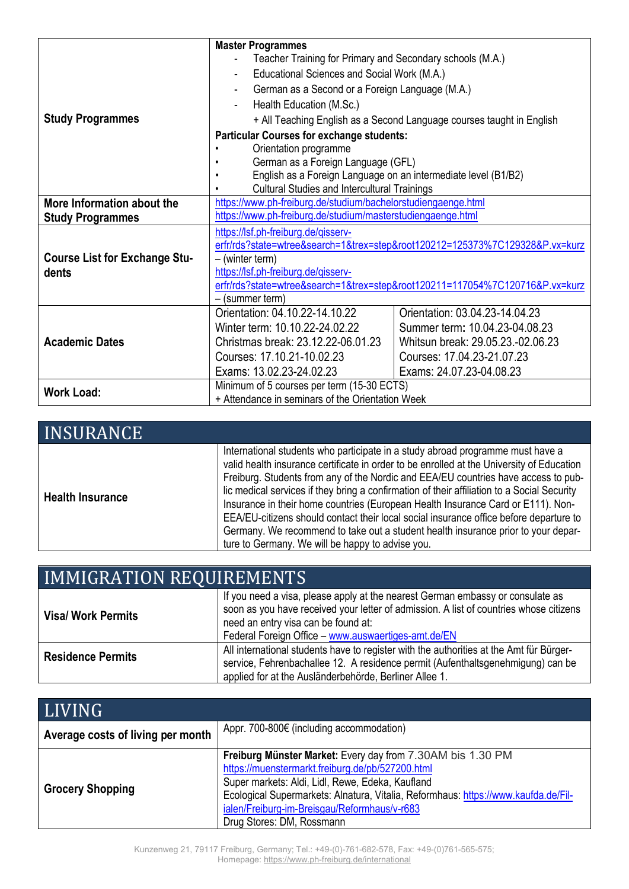|                                               | <b>Master Programmes</b>                                                     |                                                                              |
|-----------------------------------------------|------------------------------------------------------------------------------|------------------------------------------------------------------------------|
|                                               | Teacher Training for Primary and Secondary schools (M.A.)                    |                                                                              |
|                                               | Educational Sciences and Social Work (M.A.)                                  |                                                                              |
|                                               | German as a Second or a Foreign Language (M.A.)                              |                                                                              |
|                                               | Health Education (M.Sc.)                                                     |                                                                              |
| <b>Study Programmes</b>                       |                                                                              | + All Teaching English as a Second Language courses taught in English        |
|                                               | <b>Particular Courses for exchange students:</b>                             |                                                                              |
|                                               | Orientation programme                                                        |                                                                              |
|                                               | German as a Foreign Language (GFL)                                           |                                                                              |
|                                               | English as a Foreign Language on an intermediate level (B1/B2)               |                                                                              |
|                                               | <b>Cultural Studies and Intercultural Trainings</b>                          |                                                                              |
| More Information about the                    | https://www.ph-freiburg.de/studium/bachelorstudiengaenge.html                |                                                                              |
| <b>Study Programmes</b>                       | https://www.ph-freiburg.de/studium/masterstudiengaenge.html                  |                                                                              |
| <b>Course List for Exchange Stu-</b><br>dents | https://lsf.ph-freiburg.de/gisserv-                                          |                                                                              |
|                                               | erfr/rds?state=wtree&search=1&trex=step&root120212=125373%7C129328&P.vx=kurz |                                                                              |
|                                               | $-$ (winter term)                                                            |                                                                              |
|                                               | https://lsf.ph-freiburg.de/qisserv-                                          |                                                                              |
|                                               |                                                                              | erfr/rds?state=wtree&search=1&trex=step&root120211=117054%7C120716&P.vx=kurz |
|                                               | – (summer term)                                                              |                                                                              |
| <b>Academic Dates</b>                         | Orientation: 04.10.22-14.10.22                                               | Orientation: 03.04.23-14.04.23                                               |
|                                               | Winter term: 10.10.22-24.02.22                                               | Summer term: 10.04.23-04.08.23                                               |
|                                               | Christmas break: 23.12.22-06.01.23                                           | Whitsun break: 29.05.23.-02.06.23                                            |
|                                               | Courses: 17.10.21-10.02.23                                                   | Courses: 17.04.23-21.07.23                                                   |
|                                               | Exams: 13.02.23-24.02.23                                                     | Exams: 24.07.23-04.08.23                                                     |
| <b>Work Load:</b>                             | Minimum of 5 courses per term (15-30 ECTS)                                   |                                                                              |
|                                               | + Attendance in seminars of the Orientation Week                             |                                                                              |

| <b>INSURANCE</b>        |                                                                                                                                                                                                                                                                                                                                                                                                                                                                                                                                                                                                                                                                                         |
|-------------------------|-----------------------------------------------------------------------------------------------------------------------------------------------------------------------------------------------------------------------------------------------------------------------------------------------------------------------------------------------------------------------------------------------------------------------------------------------------------------------------------------------------------------------------------------------------------------------------------------------------------------------------------------------------------------------------------------|
| <b>Health Insurance</b> | International students who participate in a study abroad programme must have a<br>valid health insurance certificate in order to be enrolled at the University of Education<br>Freiburg. Students from any of the Nordic and EEA/EU countries have access to pub-<br>lic medical services if they bring a confirmation of their affiliation to a Social Security<br>Insurance in their home countries (European Health Insurance Card or E111). Non-<br>EEA/EU-citizens should contact their local social insurance office before departure to<br>Germany. We recommend to take out a student health insurance prior to your depar-<br>ture to Germany. We will be happy to advise you. |

| <b>IMMIGRATION REQUIREMENTS</b> |                                                                                                                                                                                                                                                                        |
|---------------------------------|------------------------------------------------------------------------------------------------------------------------------------------------------------------------------------------------------------------------------------------------------------------------|
| <b>Visa/ Work Permits</b>       | If you need a visa, please apply at the nearest German embassy or consulate as<br>soon as you have received your letter of admission. A list of countries whose citizens<br>need an entry visa can be found at:<br>Federal Foreign Office - www.auswaertiges-amt.de/EN |
| <b>Residence Permits</b>        | All international students have to register with the authorities at the Amt für Bürger-<br>service, Fehrenbachallee 12. A residence permit (Aufenthaltsgenehmigung) can be<br>applied for at the Ausländerbehörde, Berliner Allee 1.                                   |

| LIVING                            |                                                                                                                                                                                                                                                                                                                                       |
|-----------------------------------|---------------------------------------------------------------------------------------------------------------------------------------------------------------------------------------------------------------------------------------------------------------------------------------------------------------------------------------|
| Average costs of living per month | Appr. 700-800 $\epsilon$ (including accommodation)                                                                                                                                                                                                                                                                                    |
| <b>Grocery Shopping</b>           | Freiburg Münster Market: Every day from 7.30AM bis 1.30 PM<br>https://muenstermarkt.freiburg.de/pb/527200.html<br>Super markets: Aldi, Lidl, Rewe, Edeka, Kaufland<br>Ecological Supermarkets: Alnatura, Vitalia, Reformhaus: https://www.kaufda.de/Fil-<br>ialen/Freiburg-im-Breisgau/Reformhaus/v-r683<br>Drug Stores: DM, Rossmann |